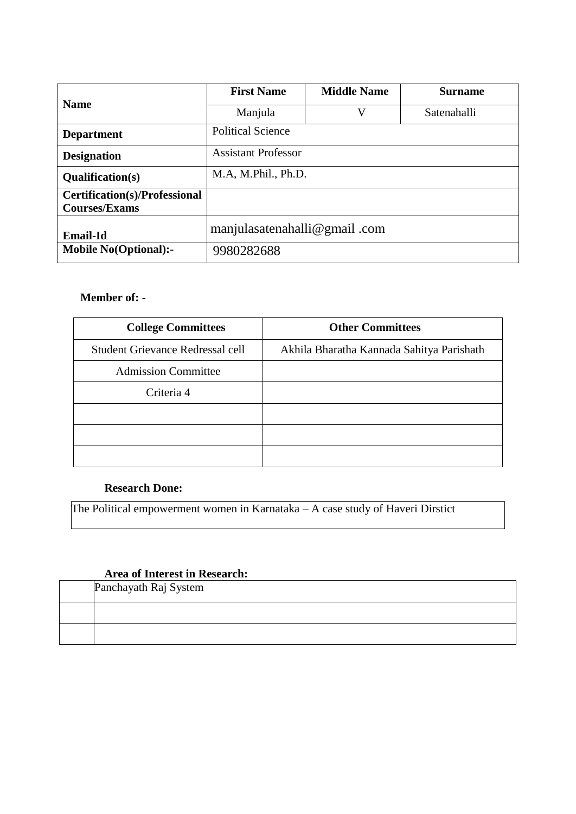|                               | <b>First Name</b>            | <b>Middle Name</b> | <b>Surname</b> |  |  |  |  |
|-------------------------------|------------------------------|--------------------|----------------|--|--|--|--|
| <b>Name</b>                   | Manjula                      | V                  | Satenahalli    |  |  |  |  |
| <b>Department</b>             | <b>Political Science</b>     |                    |                |  |  |  |  |
| <b>Designation</b>            | <b>Assistant Professor</b>   |                    |                |  |  |  |  |
| <b>Qualification(s)</b>       | M.A, M.Phil., Ph.D.          |                    |                |  |  |  |  |
| Certification(s)/Professional |                              |                    |                |  |  |  |  |
| <b>Courses/Exams</b>          |                              |                    |                |  |  |  |  |
| <b>Email-Id</b>               | manjulasatenahalli@gmail.com |                    |                |  |  |  |  |
| <b>Mobile No(Optional):-</b>  | 9980282688                   |                    |                |  |  |  |  |

## **Member of: -**

| <b>College Committees</b>        | <b>Other Committees</b>                   |  |  |  |
|----------------------------------|-------------------------------------------|--|--|--|
| Student Grievance Redressal cell | Akhila Bharatha Kannada Sahitya Parishath |  |  |  |
| <b>Admission Committee</b>       |                                           |  |  |  |
| Criteria 4                       |                                           |  |  |  |
|                                  |                                           |  |  |  |
|                                  |                                           |  |  |  |
|                                  |                                           |  |  |  |

## **Research Done:**

The Political empowerment women in Karnataka – A case study of Haveri Dirstict

## **Area of Interest in Research:**

| Panchayath Raj System |
|-----------------------|
|                       |
|                       |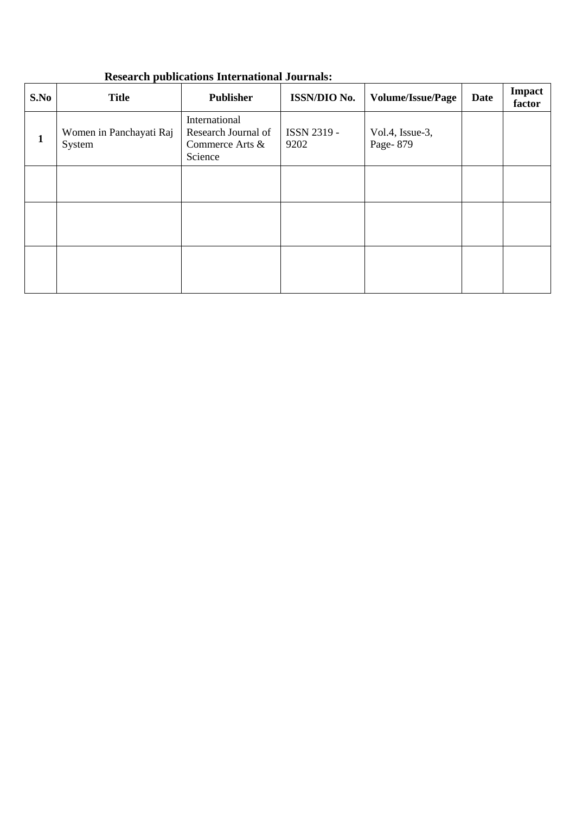## **Research publications International Journals:**

| S.No | <b>Title</b>                      | <b>Publisher</b>                                                   | ISSN/DIO No.        | <b>Volume/Issue/Page</b>    | Date | <b>Impact</b><br>factor |
|------|-----------------------------------|--------------------------------------------------------------------|---------------------|-----------------------------|------|-------------------------|
| 1    | Women in Panchayati Raj<br>System | International<br>Research Journal of<br>Commerce Arts &<br>Science | ISSN 2319 -<br>9202 | Vol.4, Issue-3,<br>Page-879 |      |                         |
|      |                                   |                                                                    |                     |                             |      |                         |
|      |                                   |                                                                    |                     |                             |      |                         |
|      |                                   |                                                                    |                     |                             |      |                         |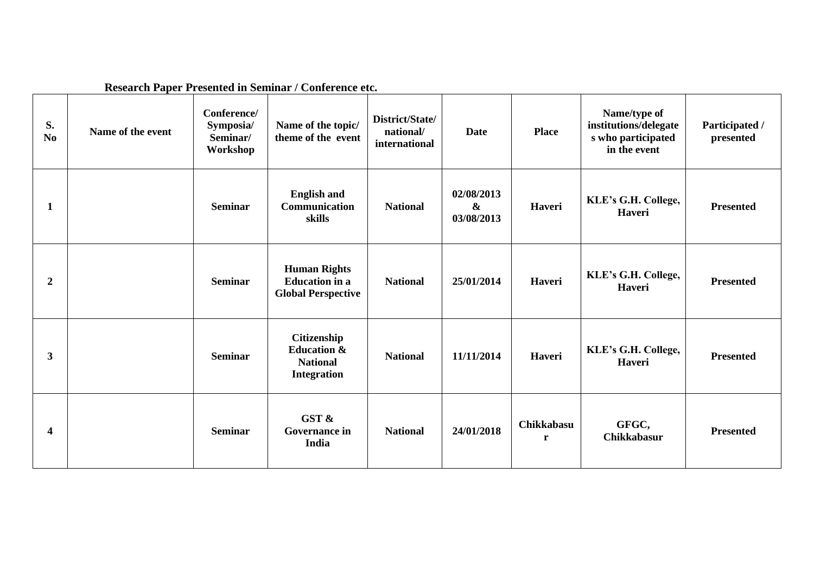|                      | Research Paper Presented in Seminar / Conference etc. |                                                  |                                                                                |                                               |                                               |                            |                                                                             |                             |  |
|----------------------|-------------------------------------------------------|--------------------------------------------------|--------------------------------------------------------------------------------|-----------------------------------------------|-----------------------------------------------|----------------------------|-----------------------------------------------------------------------------|-----------------------------|--|
| S.<br>N <sub>0</sub> | Name of the event                                     | Conference/<br>Symposia/<br>Seminar/<br>Workshop | Name of the topic/<br>theme of the event                                       | District/State/<br>national/<br>international | <b>Date</b>                                   | <b>Place</b>               | Name/type of<br>institutions/delegate<br>s who participated<br>in the event | Participated /<br>presented |  |
| 1                    |                                                       | <b>Seminar</b>                                   | <b>English and</b><br><b>Communication</b><br>skills                           | <b>National</b>                               | 02/08/2013<br>$\boldsymbol{\&}$<br>03/08/2013 | Haveri                     | KLE's G.H. College,<br>Haveri                                               | <b>Presented</b>            |  |
| $\boldsymbol{2}$     |                                                       | <b>Seminar</b>                                   | <b>Human Rights</b><br><b>Education</b> in a<br><b>Global Perspective</b>      | <b>National</b>                               | 25/01/2014                                    | Haveri                     | KLE's G.H. College,<br>Haveri                                               | <b>Presented</b>            |  |
| 3                    |                                                       | <b>Seminar</b>                                   | Citizenship<br><b>Education &amp;</b><br><b>National</b><br><b>Integration</b> | <b>National</b>                               | 11/11/2014                                    | Haveri                     | KLE's G.H. College,<br>Haveri                                               | <b>Presented</b>            |  |
| 4                    |                                                       | <b>Seminar</b>                                   | GST &<br><b>Governance in</b><br>India                                         | <b>National</b>                               | 24/01/2018                                    | Chikkabasu<br>$\mathbf{r}$ | GFGC,<br><b>Chikkabasur</b>                                                 | <b>Presented</b>            |  |